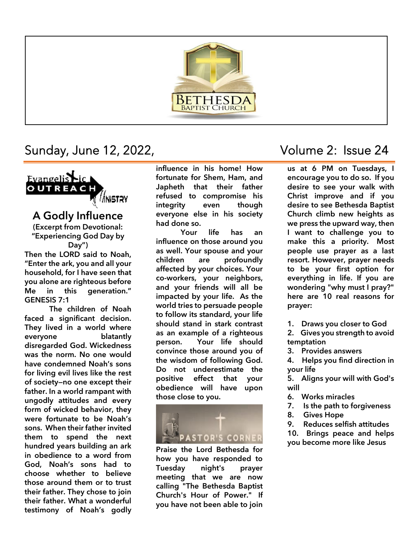

# Sunday, June 12, 2022, Volume 2: Issue 24



## **A Godly Influence**

(Excerpt from Devotional: "Experiencing God Day by Day")

Then the LORD said to Noah, "Enter the ark, you and all your household, for I have seen that you alone are righteous before Me in this generation." GENESIS 7:1

The children of Noah faced a significant decision. They lived in a world where everyone blatantly disregarded God. Wickedness was the norm. No one would have condemned Noah's sons for living evil lives like the rest of society—no one except their father. In a world rampant with ungodly attitudes and every form of wicked behavior, they were fortunate to be Noah's sons. When their father invited them to spend the next hundred years building an ark in obedience to a word from God, Noah's sons had to choose whether to believe those around them or to trust their father. They chose to join their father. What a wonderful testimony of Noah's godly

influence in his home! How fortunate for Shem, Ham, and Japheth that their father refused to compromise his integrity even though everyone else in his society had done so.

**Your life has an influence on those around you as well.** Your spouse and your children are profoundly affected by your choices. Your co-workers, your neighbors, and your friends will all be impacted by your life. As the world tries to persuade people to follow its standard, your life should stand in stark contrast as an example of a righteous person. **Your life should convince those around you of the wisdom of following God. Do not underestimate the positive effect that your obedience will have upon those close to you.**



Praise the Lord Bethesda for how you have responded to Tuesday night's prayer meeting that we are now calling "The Bethesda Baptist Church's Hour of Power." If you have not been able to join

us at 6 PM on Tuesdays, I encourage you to do so. If you desire to see your walk with Christ improve and if you desire to see Bethesda Baptist Church climb new heights as we press the upward way, then I want to challenge you to make this a priority. Most people use prayer as a last resort. However, prayer needs to be your first option for everything in life. If you are wondering "why must I pray?" here are 10 real reasons for prayer:

1. Draws you closer to God

2. Gives you strength to avoid temptation

3. Provides answers

4. Helps you find direction in your life

5. Aligns your will with God's will

- 6. Works miracles
- 7. Is the path to forgiveness
- 8. Gives Hope
- 9. Reduces selfish attitudes

10. Brings peace and helps you become more like Jesus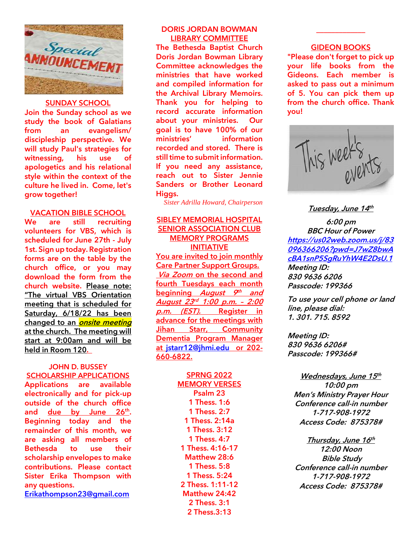

#### SUNDAY SCHOOL

Join the Sunday school as we study the book of Galatians from an evangelism/ discipleship perspective. We will study Paul's strategies for witnessing, his use of apologetics and his relational style within the context of the culture he lived in. Come, let's grow together!

#### VACATION BIBLE SCHOOL

We are still recruiting volunteers for VBS, which is scheduled for June 27th - July 1st. Sign up today. Registration forms are on the table by the church office, or you may download the form from the church website. Please note: "The virtual VBS Orientation meeting that is scheduled for Saturday, 6/18/22 has been changed to an **onsite meeting** at the church. The meeting will start at 9:00am and will be held in Room 120.

#### JOHN D. BUSSEY

SCHOLARSHIP APPLICATIONS Applications are available electronically and for pick-up outside of the church office and <u>due by June 26th</u>. Beginning today and the remainder of this month, we are asking all members of Bethesda to use their scholarship envelopes to make contributions. Please contact Sister Erika Thompson with any questions. [Erikathompson23@gmail.com](mailto:Erikathompson23@gmail.com)

#### DORIS JORDAN BOWMAN LIBRARY COMMITTEE

The Bethesda Baptist Church Doris Jordan Bowman Library Committee acknowledges the ministries that have worked and compiled information for the Archival Library Memoirs. Thank you for helping to record accurate information about your ministries. Our goal is to have 100% of our ministries' information recorded and stored. There is still time to submit information. If you need any assistance, reach out to Sister Jennie Sanders or Brother Leonard Higgs.

*Sister Adrilla Howard, Chairperson*

### **SIBLEY MEMORIAL HOSPITAL SENIOR ASSOCIATION CLUB MEMORY PROGRAMS INITIATIVE You are invited to join monthly**

**Care Partner Support Groups. Via Zoom on the second and fourth Tuesdays each month beginning August 9 th and August 23 rd 1:00 p.m. – 2:00 p.m. (EST). Register in advance for the meetings with Jihan Starr, Community Dementia Program Manager at [jstarr12@jhmi.edu](mailto:jstarr12@jhmi.edu) or 202- 660-6822.**

> **SPRNG 2022 MEMORY VERSES Psalm 23 1 Thess. 1:6 1 Thess. 2:7 1 Thess. 2:14a 1 Thess. 3:12 1 Thess. 4:7 1 Thess. 4:16-17 Matthew 28:6 1 Thess. 5:8 1 Thess. 5:24 2 Thess. 1:11-12 Matthew 24:42 2 Thess. 3:1 2 Thess.3:13**

#### **GIDEON BOOKS**

**\_\_\_\_\_\_\_\_\_\_\_\_\_**

"Please don't forget to pick up your life books from the Gideons. Each member is asked to pass out a minimum of 5. You can pick them up from the church office. Thank you!



**Tuesday, June 14 th**

**6:00 pm BBC Hour of Power** [https://us02web.zoom.us/j/83](https://us02web.zoom.us/j/83096366206?pwd=J7wZ8bwAcBA1snP5SgRuYhW4E2DsU.1) [096366206?pwd=J7wZ8bwA](https://us02web.zoom.us/j/83096366206?pwd=J7wZ8bwAcBA1snP5SgRuYhW4E2DsU.1) [cBA1snP5SgRuYhW4E2DsU.1](https://us02web.zoom.us/j/83096366206?pwd=J7wZ8bwAcBA1snP5SgRuYhW4E2DsU.1) Meeting ID: 830 9636 6206 Passcode: 199366

**To use your cell phone or land line, please dial: 1. 301. 715. 8592**

Meeting ID: 830 9636 6206# Passcode: 199366#

**Wednesdays, June 15 th 10:00 pm Men's Ministry Prayer Hour Conference call-in number** 1-717-908-1972 **Access Code: 875378#**

Thursday, June 16th 12:00 Noon Bible Study Conference call-in number 1-717-908-1972 **Access Code: 875378#**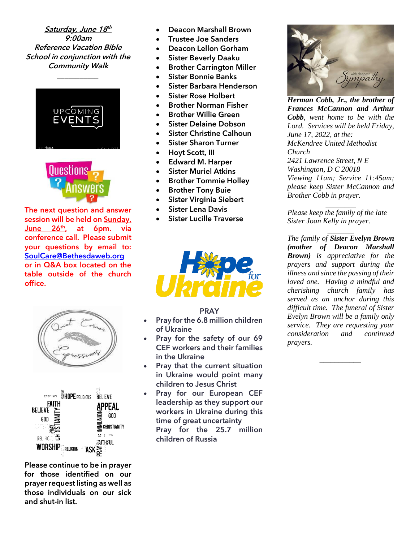**Saturday, June 18 th 9:00am Reference Vacation Bible School in conjunction with the Community Walk**

\_\_\_\_\_\_\_\_\_\_\_





**The next question and answer session will be held on Sunday, June 26th , at 6pm. via conference call. Please submit your questions by email to: [SoulCare@Bethesdaweb.org](mailto:SoulCare@Bethesdaweb.org) or in Q&A box located on the table outside of the church office.** 





**Please continue to be in prayer for those identified on our prayer request listing as well as those individuals on our sick and shut-in list.**

- **Deacon Marshall Brown**
- **Trustee Joe Sanders**
- **Deacon Lellon Gorham**
- **Sister Beverly Daaku**
- **Brother Carrington Miller**
- **Sister Bonnie Banks**
- **Sister Barbara Henderson**
- **Sister Rose Holbert**
- **Brother Norman Fisher**
- **Brother Willie Green**
- **Sister Delaine Dobson**
- **Sister Christine Calhoun**
- **Sister Sharon Turner**
- **Hoyt Scott, III**
- **Edward M. Harper**
- **Sister Muriel Atkins**
- **Brother Tommie Holley**
- **Brother Tony Buie**
- **Sister Virginia Siebert**
- **Sister Lena Davis**
- **Sister Lucille Traverse**



#### **PRAY**

- Pray for the 6.8 million children of Ukraine
- Pray for the safety of our 69 CEF workers and their families in the Ukraine
- Pray that the current situation in Ukraine would point many children to Jesus Christ
- Pray for our European CEF leadership as they support our workers in Ukraine during this time of great uncertainty Pray for the 25.7 million children of Russia



*Herman Cobb, Jr., the brother of Frances McCannon and Arthur Cobb, went home to be with the Lord. Services will be held Friday, June 17, 2022, at the: McKendree United Methodist Church 2421 Lawrence Street, N E Washington, D C 20018 Viewing 11am; Service 11:45am; please keep Sister McCannon and Brother Cobb in prayer.*

*\_\_\_\_\_\_\_\_ Please keep the family of the late Sister Joan Kelly in prayer.* 

*\_\_\_\_\_\_\_ The family of Sister Evelyn Brown (mother of Deacon Marshall Brown) is appreciative for the prayers and support during the illness and since the passing of their loved one. Having a mindful and cherishing church family has served as an anchor during this difficult time. The funeral of Sister Evelyn Brown will be a family only service. They are requesting your consideration and continued prayers.*

*\_\_\_\_\_\_\_\_\_\_\_*